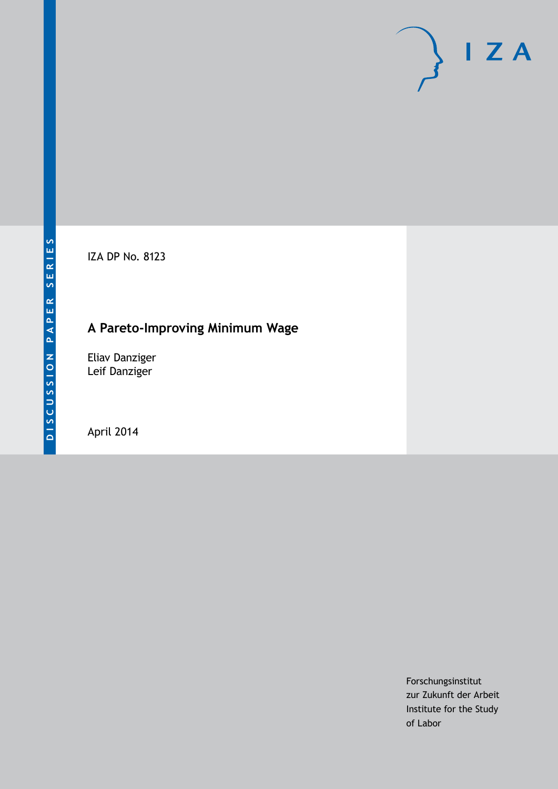

IZA DP No. 8123

### **A Pareto-Improving Minimum Wage**

Eliav Danziger Leif Danziger

April 2014

Forschungsinstitut zur Zukunft der Arbeit Institute for the Study of Labor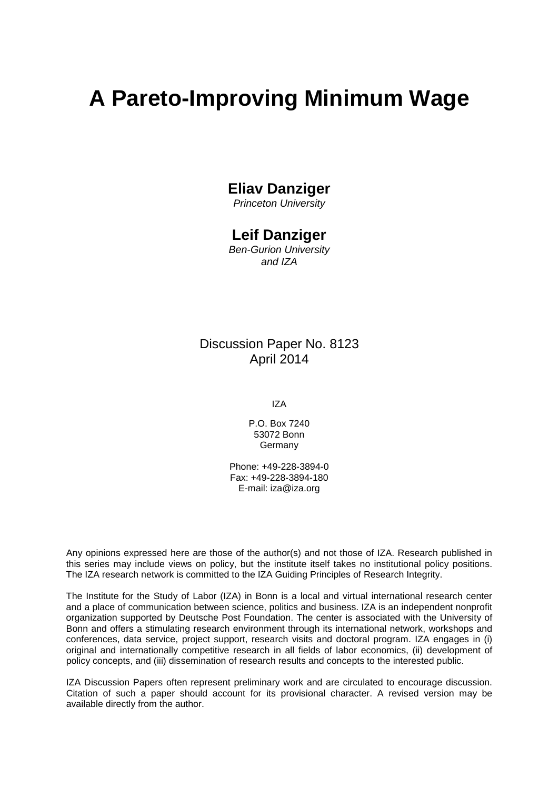# **A Pareto-Improving Minimum Wage**

### **Eliav Danziger**

*Princeton University*

#### **Leif Danziger**

*Ben-Gurion University and IZA*

#### Discussion Paper No. 8123 April 2014

IZA

P.O. Box 7240 53072 Bonn **Germany** 

Phone: +49-228-3894-0 Fax: +49-228-3894-180 E-mail: [iza@iza.org](mailto:iza@iza.org)

Any opinions expressed here are those of the author(s) and not those of IZA. Research published in this series may include views on policy, but the institute itself takes no institutional policy positions. The IZA research network is committed to the IZA Guiding Principles of Research Integrity.

The Institute for the Study of Labor (IZA) in Bonn is a local and virtual international research center and a place of communication between science, politics and business. IZA is an independent nonprofit organization supported by Deutsche Post Foundation. The center is associated with the University of Bonn and offers a stimulating research environment through its international network, workshops and conferences, data service, project support, research visits and doctoral program. IZA engages in (i) original and internationally competitive research in all fields of labor economics, (ii) development of policy concepts, and (iii) dissemination of research results and concepts to the interested public.

<span id="page-1-0"></span>IZA Discussion Papers often represent preliminary work and are circulated to encourage discussion. Citation of such a paper should account for its provisional character. A revised version may be available directly from the author.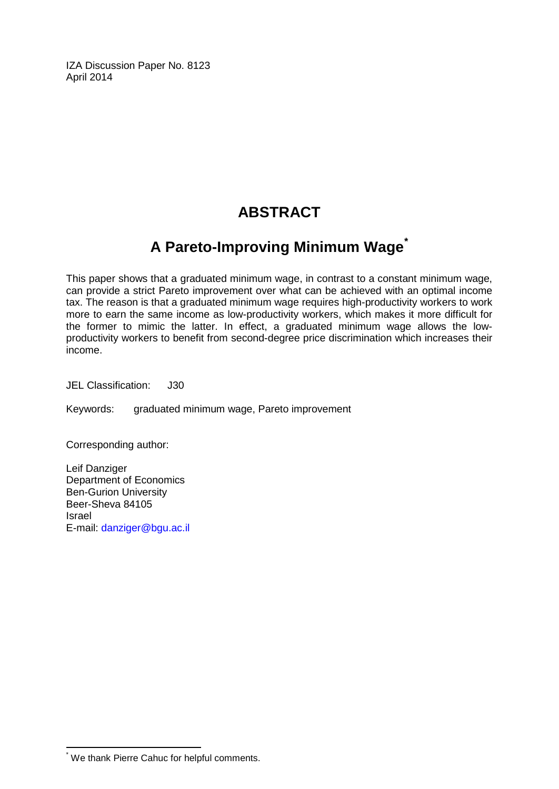IZA Discussion Paper No. 8123 April 2014

## **ABSTRACT**

### **A Pareto-Improving Minimum Wage[\\*](#page-1-0)**

This paper shows that a graduated minimum wage, in contrast to a constant minimum wage, can provide a strict Pareto improvement over what can be achieved with an optimal income tax. The reason is that a graduated minimum wage requires high-productivity workers to work more to earn the same income as low-productivity workers, which makes it more difficult for the former to mimic the latter. In effect, a graduated minimum wage allows the lowproductivity workers to benefit from second-degree price discrimination which increases their income.

JEL Classification: J30

Keywords: graduated minimum wage, Pareto improvement

Corresponding author:

Leif Danziger Department of Economics Ben-Gurion University Beer-Sheva 84105 Israel E-mail: [danziger@bgu.ac.il](mailto:danziger@bgu.ac.il)

\* We thank Pierre Cahuc for helpful comments.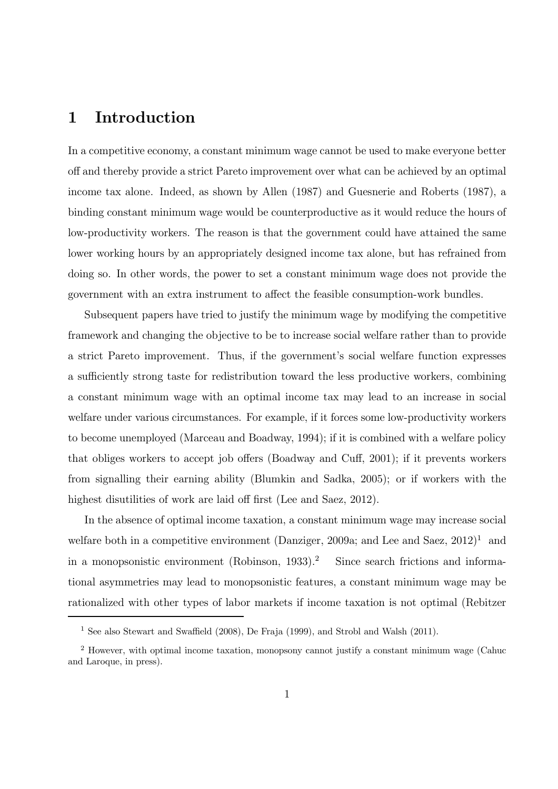#### 1 Introduction

In a competitive economy, a constant minimum wage cannot be used to make everyone better off and thereby provide a strict Pareto improvement over what can be achieved by an optimal income tax alone. Indeed, as shown by Allen (1987) and Guesnerie and Roberts (1987), a binding constant minimum wage would be counterproductive as it would reduce the hours of low-productivity workers. The reason is that the government could have attained the same lower working hours by an appropriately designed income tax alone, but has refrained from doing so. In other words, the power to set a constant minimum wage does not provide the government with an extra instrument to affect the feasible consumption-work bundles.

Subsequent papers have tried to justify the minimum wage by modifying the competitive framework and changing the objective to be to increase social welfare rather than to provide a strict Pareto improvement. Thus, if the government's social welfare function expresses a sufficiently strong taste for redistribution toward the less productive workers, combining a constant minimum wage with an optimal income tax may lead to an increase in social welfare under various circumstances. For example, if it forces some low-productivity workers to become unemployed (Marceau and Boadway, 1994); if it is combined with a welfare policy that obliges workers to accept job offers (Boadway and Cuff, 2001); if it prevents workers from signalling their earning ability (Blumkin and Sadka, 2005); or if workers with the highest disutilities of work are laid off first (Lee and Saez, 2012).

In the absence of optimal income taxation, a constant minimum wage may increase social welfare both in a competitive environment (Danziger, 2009a; and Lee and Saez,  $2012$ )<sup>1</sup> and in a monopsonistic environment (Robinson, 1933).<sup>2</sup> Since search frictions and informational asymmetries may lead to monopsonistic features, a constant minimum wage may be rationalized with other types of labor markets if income taxation is not optimal (Rebitzer

<sup>1</sup> See also Stewart and Swaffield (2008), De Fraja (1999), and Strobl and Walsh (2011).

<sup>2</sup> However, with optimal income taxation, monopsony cannot justify a constant minimum wage (Cahuc and Laroque, in press).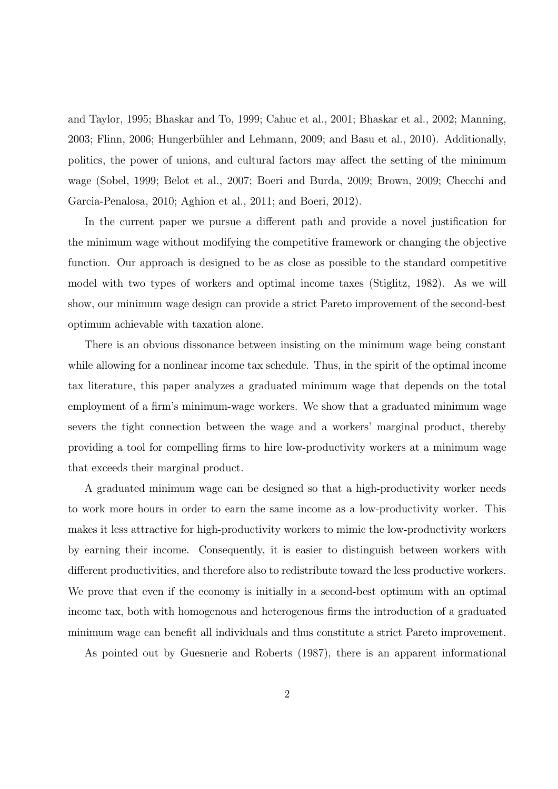and Taylor, 1995; Bhaskar and To, 1999; Cahuc et al., 2001; Bhaskar et al., 2002; Manning, 2003; Flinn, 2006; Hungerb¨uhler and Lehmann, 2009; and Basu et al., 2010). Additionally, politics, the power of unions, and cultural factors may affect the setting of the minimum wage (Sobel, 1999; Belot et al., 2007; Boeri and Burda, 2009; Brown, 2009; Checchi and Garcia-Penalosa, 2010; Aghion et al., 2011; and Boeri, 2012).

In the current paper we pursue a different path and provide a novel justification for the minimum wage without modifying the competitive framework or changing the objective function. Our approach is designed to be as close as possible to the standard competitive model with two types of workers and optimal income taxes (Stiglitz, 1982). As we will show, our minimum wage design can provide a strict Pareto improvement of the second-best optimum achievable with taxation alone.

There is an obvious dissonance between insisting on the minimum wage being constant while allowing for a nonlinear income tax schedule. Thus, in the spirit of the optimal income tax literature, this paper analyzes a graduated minimum wage that depends on the total employment of a firm's minimum-wage workers. We show that a graduated minimum wage severs the tight connection between the wage and a workers' marginal product, thereby providing a tool for compelling firms to hire low-productivity workers at a minimum wage that exceeds their marginal product.

A graduated minimum wage can be designed so that a high-productivity worker needs to work more hours in order to earn the same income as a low-productivity worker. This makes it less attractive for high-productivity workers to mimic the low-productivity workers by earning their income. Consequently, it is easier to distinguish between workers with different productivities, and therefore also to redistribute toward the less productive workers. We prove that even if the economy is initially in a second-best optimum with an optimal income tax, both with homogenous and heterogenous firms the introduction of a graduated minimum wage can benefit all individuals and thus constitute a strict Pareto improvement.

As pointed out by Guesnerie and Roberts (1987), there is an apparent informational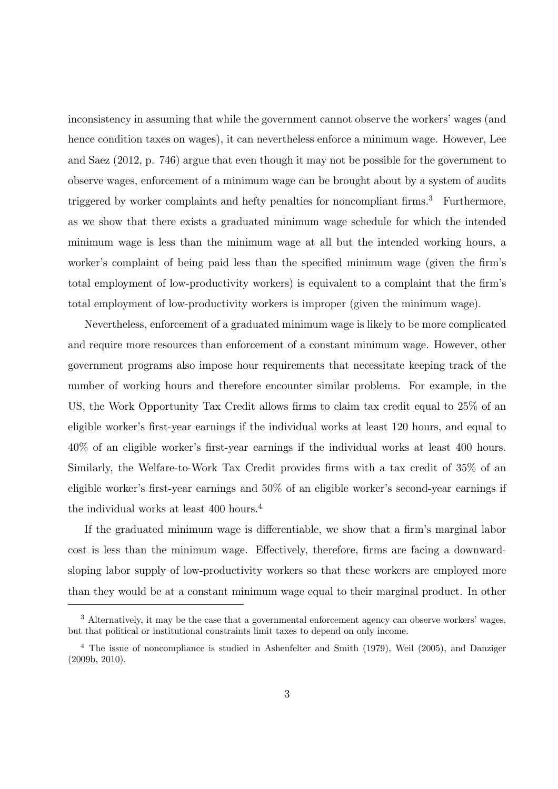inconsistency in assuming that while the government cannot observe the workers' wages (and hence condition taxes on wages), it can nevertheless enforce a minimum wage. However, Lee and Saez (2012, p. 746) argue that even though it may not be possible for the government to observe wages, enforcement of a minimum wage can be brought about by a system of audits triggered by worker complaints and hefty penalties for noncompliant firms.<sup>3</sup> Furthermore, as we show that there exists a graduated minimum wage schedule for which the intended minimum wage is less than the minimum wage at all but the intended working hours, a worker's complaint of being paid less than the specified minimum wage (given the firm's total employment of low-productivity workers) is equivalent to a complaint that the firm's total employment of low-productivity workers is improper (given the minimum wage).

Nevertheless, enforcement of a graduated minimum wage is likely to be more complicated and require more resources than enforcement of a constant minimum wage. However, other government programs also impose hour requirements that necessitate keeping track of the number of working hours and therefore encounter similar problems. For example, in the US, the Work Opportunity Tax Credit allows firms to claim tax credit equal to 25% of an eligible worker's first-year earnings if the individual works at least 120 hours, and equal to 40% of an eligible worker's first-year earnings if the individual works at least 400 hours. Similarly, the Welfare-to-Work Tax Credit provides firms with a tax credit of 35% of an eligible worker's first-year earnings and 50% of an eligible worker's second-year earnings if the individual works at least 400 hours.<sup>4</sup>

If the graduated minimum wage is differentiable, we show that a firm's marginal labor cost is less than the minimum wage. Effectively, therefore, firms are facing a downwardsloping labor supply of low-productivity workers so that these workers are employed more than they would be at a constant minimum wage equal to their marginal product. In other

<sup>&</sup>lt;sup>3</sup> Alternatively, it may be the case that a governmental enforcement agency can observe workers' wages, but that political or institutional constraints limit taxes to depend on only income.

<sup>4</sup> The issue of noncompliance is studied in Ashenfelter and Smith (1979), Weil (2005), and Danziger (2009b, 2010).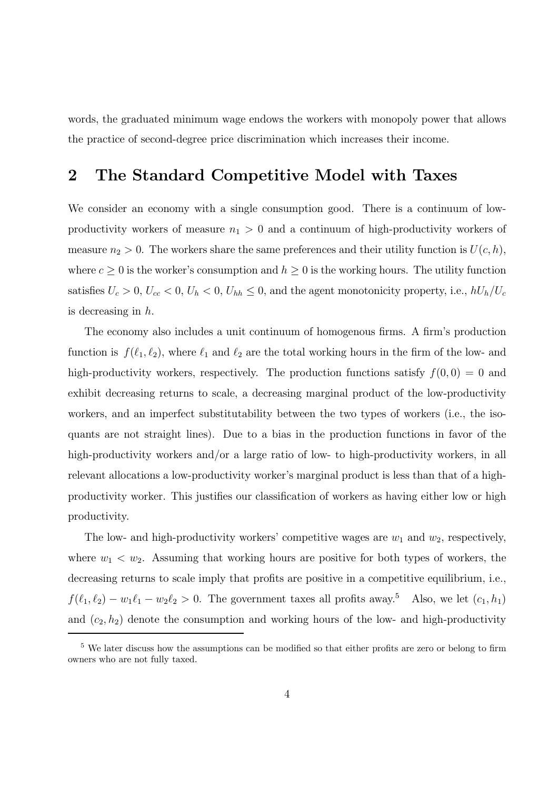words, the graduated minimum wage endows the workers with monopoly power that allows the practice of second-degree price discrimination which increases their income.

#### 2 The Standard Competitive Model with Taxes

We consider an economy with a single consumption good. There is a continuum of lowproductivity workers of measure  $n_1 > 0$  and a continuum of high-productivity workers of measure  $n_2 > 0$ . The workers share the same preferences and their utility function is  $U(c, h)$ , where  $c \geq 0$  is the worker's consumption and  $h \geq 0$  is the working hours. The utility function satisfies  $U_c > 0$ ,  $U_{cc} < 0$ ,  $U_h < 0$ ,  $U_{hh} \leq 0$ , and the agent monotonicity property, i.e.,  $hU_h/U_c$ is decreasing in h.

The economy also includes a unit continuum of homogenous firms. A firm's production function is  $f(\ell_1, \ell_2)$ , where  $\ell_1$  and  $\ell_2$  are the total working hours in the firm of the low- and high-productivity workers, respectively. The production functions satisfy  $f(0,0) = 0$  and exhibit decreasing returns to scale, a decreasing marginal product of the low-productivity workers, and an imperfect substitutability between the two types of workers (i.e., the isoquants are not straight lines). Due to a bias in the production functions in favor of the high-productivity workers and/or a large ratio of low- to high-productivity workers, in all relevant allocations a low-productivity worker's marginal product is less than that of a highproductivity worker. This justifies our classification of workers as having either low or high productivity.

The low- and high-productivity workers' competitive wages are  $w_1$  and  $w_2$ , respectively, where  $w_1 \, \langle \, w_2$ . Assuming that working hours are positive for both types of workers, the decreasing returns to scale imply that profits are positive in a competitive equilibrium, i.e.,  $f(\ell_1, \ell_2) - w_1 \ell_1 - w_2 \ell_2 > 0$ . The government taxes all profits away.<sup>5</sup> Also, we let  $(c_1, h_1)$ and  $(c_2, h_2)$  denote the consumption and working hours of the low- and high-productivity

<sup>&</sup>lt;sup>5</sup> We later discuss how the assumptions can be modified so that either profits are zero or belong to firm owners who are not fully taxed.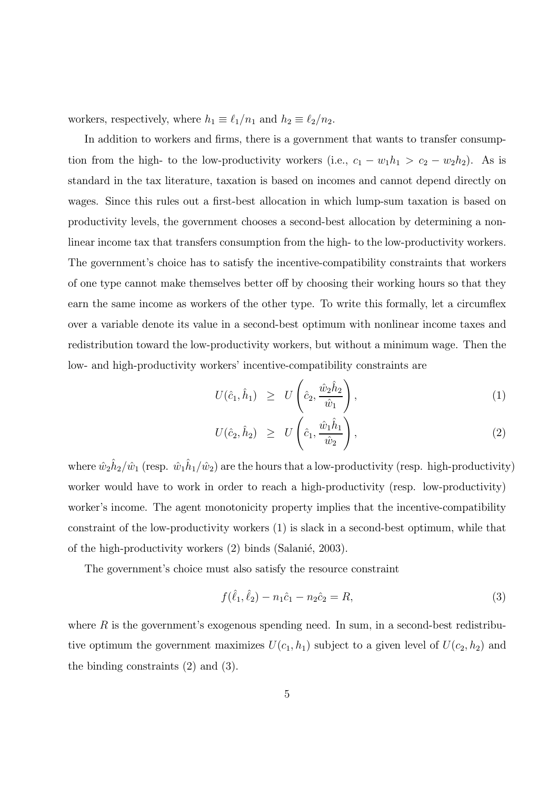workers, respectively, where  $h_1 \equiv \ell_1/n_1$  and  $h_2 \equiv \ell_2/n_2$ .

In addition to workers and firms, there is a government that wants to transfer consumption from the high- to the low-productivity workers (i.e.,  $c_1 - w_1 h_1 > c_2 - w_2 h_2$ ). As is standard in the tax literature, taxation is based on incomes and cannot depend directly on wages. Since this rules out a first-best allocation in which lump-sum taxation is based on productivity levels, the government chooses a second-best allocation by determining a nonlinear income tax that transfers consumption from the high- to the low-productivity workers. The government's choice has to satisfy the incentive-compatibility constraints that workers of one type cannot make themselves better off by choosing their working hours so that they earn the same income as workers of the other type. To write this formally, let a circumflex over a variable denote its value in a second-best optimum with nonlinear income taxes and redistribution toward the low-productivity workers, but without a minimum wage. Then the low- and high-productivity workers' incentive-compatibility constraints are

$$
U(\hat{c}_1, \hat{h}_1) \geq U\left(\hat{c}_2, \frac{\hat{w}_2 \hat{h}_2}{\hat{w}_1}\right), \tag{1}
$$

$$
U(\hat{c}_2, \hat{h}_2) \geq U\left(\hat{c}_1, \frac{\hat{w}_1 \hat{h}_1}{\hat{w}_2}\right),\tag{2}
$$

where  $\hat{w}_2 \hat{h}_2 / \hat{w}_1$  (resp.  $\hat{w}_1 \hat{h}_1 / \hat{w}_2$ ) are the hours that a low-productivity (resp. high-productivity) worker would have to work in order to reach a high-productivity (resp. low-productivity) worker's income. The agent monotonicity property implies that the incentive-compatibility constraint of the low-productivity workers (1) is slack in a second-best optimum, while that of the high-productivity workers  $(2)$  binds (Salanié, 2003).

The government's choice must also satisfy the resource constraint

$$
f(\hat{\ell}_1, \hat{\ell}_2) - n_1 \hat{c}_1 - n_2 \hat{c}_2 = R,\tag{3}
$$

where  $R$  is the government's exogenous spending need. In sum, in a second-best redistributive optimum the government maximizes  $U(c_1, h_1)$  subject to a given level of  $U(c_2, h_2)$  and the binding constraints (2) and (3).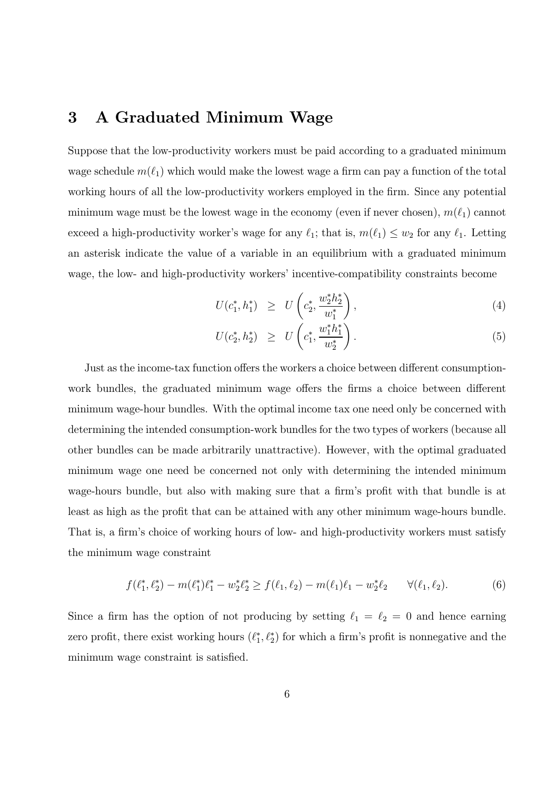#### 3 A Graduated Minimum Wage

Suppose that the low-productivity workers must be paid according to a graduated minimum wage schedule  $m(\ell_1)$  which would make the lowest wage a firm can pay a function of the total working hours of all the low-productivity workers employed in the firm. Since any potential minimum wage must be the lowest wage in the economy (even if never chosen),  $m(\ell_1)$  cannot exceed a high-productivity worker's wage for any  $\ell_1$ ; that is,  $m(\ell_1) \leq w_2$  for any  $\ell_1$ . Letting an asterisk indicate the value of a variable in an equilibrium with a graduated minimum wage, the low- and high-productivity workers' incentive-compatibility constraints become

$$
U(c_1^*, h_1^*) \geq U\left(c_2^*, \frac{w_2^* h_2^*}{w_1^*}\right), \tag{4}
$$

$$
U(c_2^*, h_2^*) \geq U\left(c_1^*, \frac{w_1^*h_1^*}{w_2^*}\right). \tag{5}
$$

Just as the income-tax function offers the workers a choice between different consumptionwork bundles, the graduated minimum wage offers the firms a choice between different minimum wage-hour bundles. With the optimal income tax one need only be concerned with determining the intended consumption-work bundles for the two types of workers (because all other bundles can be made arbitrarily unattractive). However, with the optimal graduated minimum wage one need be concerned not only with determining the intended minimum wage-hours bundle, but also with making sure that a firm's profit with that bundle is at least as high as the profit that can be attained with any other minimum wage-hours bundle. That is, a firm's choice of working hours of low- and high-productivity workers must satisfy the minimum wage constraint

$$
f(\ell_1^*, \ell_2^*) - m(\ell_1^*)\ell_1^* - w_2^* \ell_2^* \ge f(\ell_1, \ell_2) - m(\ell_1)\ell_1 - w_2^* \ell_2 \qquad \forall (\ell_1, \ell_2). \tag{6}
$$

Since a firm has the option of not producing by setting  $\ell_1 = \ell_2 = 0$  and hence earning zero profit, there exist working hours  $(\ell_1^*, \ell_2^*)$  for which a firm's profit is nonnegative and the minimum wage constraint is satisfied.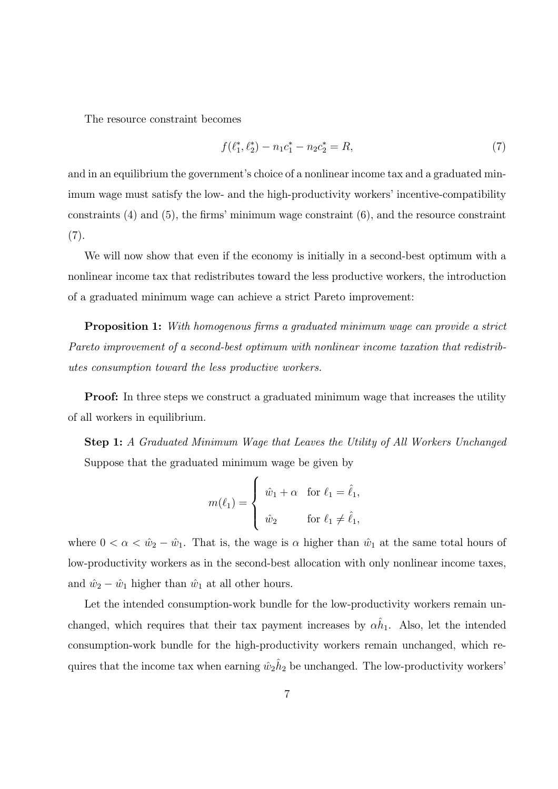The resource constraint becomes

$$
f(\ell_1^*, \ell_2^*) - n_1 c_1^* - n_2 c_2^* = R,\tag{7}
$$

and in an equilibrium the government's choice of a nonlinear income tax and a graduated minimum wage must satisfy the low- and the high-productivity workers' incentive-compatibility constraints (4) and (5), the firms' minimum wage constraint (6), and the resource constraint  $(7).$ 

We will now show that even if the economy is initially in a second-best optimum with a nonlinear income tax that redistributes toward the less productive workers, the introduction of a graduated minimum wage can achieve a strict Pareto improvement:

**Proposition 1:** With homogenous firms a graduated minimum wage can provide a strict Pareto improvement of a second-best optimum with nonlinear income taxation that redistributes consumption toward the less productive workers.

**Proof:** In three steps we construct a graduated minimum wage that increases the utility of all workers in equilibrium.

Step 1: A Graduated Minimum Wage that Leaves the Utility of All Workers Unchanged Suppose that the graduated minimum wage be given by

$$
m(\ell_1) = \begin{cases} \hat{w}_1 + \alpha & \text{for } \ell_1 = \hat{\ell}_1, \\ \hat{w}_2 & \text{for } \ell_1 \neq \hat{\ell}_1, \end{cases}
$$

where  $0 < \alpha < \hat{w}_2 - \hat{w}_1$ . That is, the wage is  $\alpha$  higher than  $\hat{w}_1$  at the same total hours of low-productivity workers as in the second-best allocation with only nonlinear income taxes, and  $\hat{w}_2 - \hat{w}_1$  higher than  $\hat{w}_1$  at all other hours.

Let the intended consumption-work bundle for the low-productivity workers remain unchanged, which requires that their tax payment increases by  $\alpha \hat{h}_1$ . Also, let the intended consumption-work bundle for the high-productivity workers remain unchanged, which requires that the income tax when earning  $\hat{w}_2 \hat{h}_2$  be unchanged. The low-productivity workers'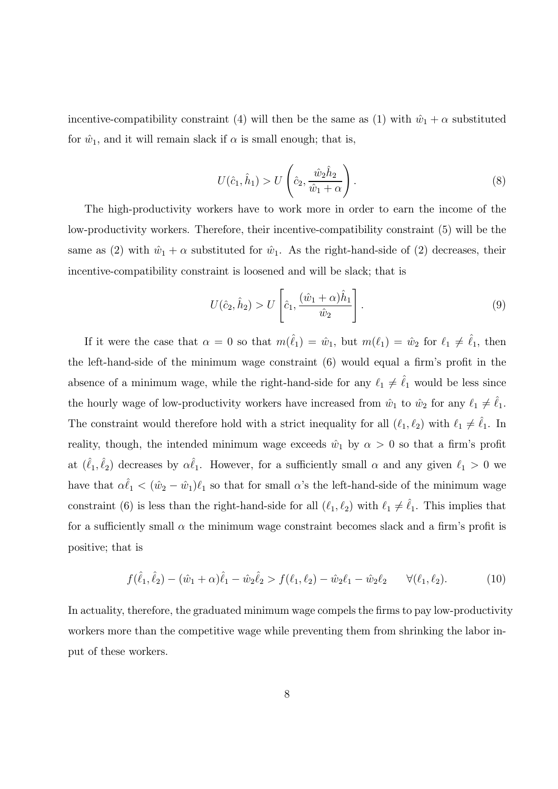incentive-compatibility constraint (4) will then be the same as (1) with  $\hat{w}_1 + \alpha$  substituted for  $\hat{w}_1$ , and it will remain slack if  $\alpha$  is small enough; that is,

$$
U(\hat{c}_1, \hat{h}_1) > U\left(\hat{c}_2, \frac{\hat{w}_2 \hat{h}_2}{\hat{w}_1 + \alpha}\right).
$$
\n
$$
(8)
$$

The high-productivity workers have to work more in order to earn the income of the low-productivity workers. Therefore, their incentive-compatibility constraint (5) will be the same as (2) with  $\hat{w}_1 + \alpha$  substituted for  $\hat{w}_1$ . As the right-hand-side of (2) decreases, their incentive-compatibility constraint is loosened and will be slack; that is

$$
U(\hat{c}_2, \hat{h}_2) > U\left[\hat{c}_1, \frac{(\hat{w}_1 + \alpha)\hat{h}_1}{\hat{w}_2}\right].
$$
\n(9)

If it were the case that  $\alpha = 0$  so that  $m(\hat{\ell}_1) = \hat{w}_1$ , but  $m(\ell_1) = \hat{w}_2$  for  $\ell_1 \neq \hat{\ell}_1$ , then the left-hand-side of the minimum wage constraint (6) would equal a firm's profit in the absence of a minimum wage, while the right-hand-side for any  $\ell_1 \neq \hat{\ell}_1$  would be less since the hourly wage of low-productivity workers have increased from  $\hat{w}_1$  to  $\hat{w}_2$  for any  $\ell_1 \neq \hat{\ell}_1$ . The constraint would therefore hold with a strict inequality for all  $(\ell_1, \ell_2)$  with  $\ell_1 \neq \ell_1$ . In reality, though, the intended minimum wage exceeds  $\hat{w}_1$  by  $\alpha > 0$  so that a firm's profit at  $(\hat{\ell}_1, \hat{\ell}_2)$  decreases by  $\alpha \hat{\ell}_1$ . However, for a sufficiently small  $\alpha$  and any given  $\ell_1 > 0$  we have that  $\alpha \hat{\ell}_1 < (\hat{w}_2 - \hat{w}_1)\ell_1$  so that for small  $\alpha$ 's the left-hand-side of the minimum wage constraint (6) is less than the right-hand-side for all  $(\ell_1, \ell_2)$  with  $\ell_1 \neq \hat{\ell}_1$ . This implies that for a sufficiently small  $\alpha$  the minimum wage constraint becomes slack and a firm's profit is positive; that is

$$
f(\hat{\ell}_1, \hat{\ell}_2) - (\hat{w}_1 + \alpha)\hat{\ell}_1 - \hat{w}_2\hat{\ell}_2 > f(\ell_1, \ell_2) - \hat{w}_2\ell_1 - \hat{w}_2\ell_2 \qquad \forall (\ell_1, \ell_2). \tag{10}
$$

In actuality, therefore, the graduated minimum wage compels the firms to pay low-productivity workers more than the competitive wage while preventing them from shrinking the labor input of these workers.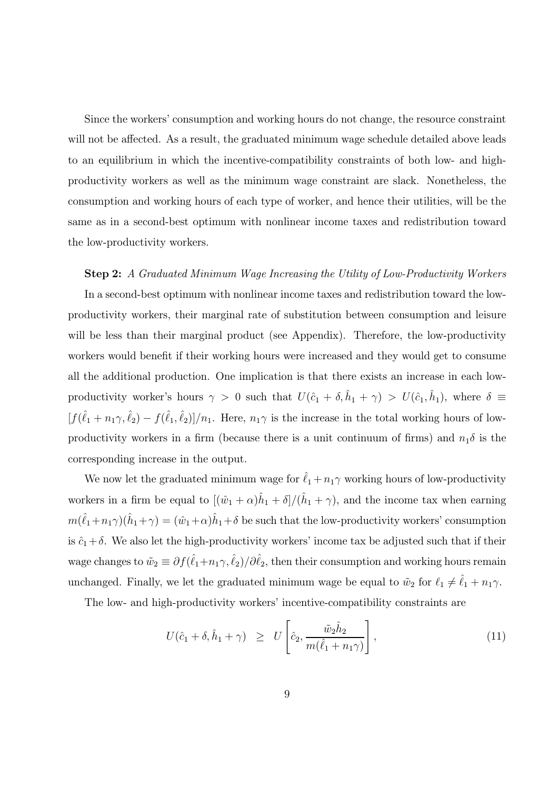Since the workers' consumption and working hours do not change, the resource constraint will not be affected. As a result, the graduated minimum wage schedule detailed above leads to an equilibrium in which the incentive-compatibility constraints of both low- and highproductivity workers as well as the minimum wage constraint are slack. Nonetheless, the consumption and working hours of each type of worker, and hence their utilities, will be the same as in a second-best optimum with nonlinear income taxes and redistribution toward the low-productivity workers.

Step 2: A Graduated Minimum Wage Increasing the Utility of Low-Productivity Workers In a second-best optimum with nonlinear income taxes and redistribution toward the lowproductivity workers, their marginal rate of substitution between consumption and leisure will be less than their marginal product (see Appendix). Therefore, the low-productivity workers would benefit if their working hours were increased and they would get to consume all the additional production. One implication is that there exists an increase in each lowproductivity worker's hours  $\gamma > 0$  such that  $U(\hat{c}_1 + \delta, \hat{h}_1 + \gamma) > U(\hat{c}_1, \hat{h}_1)$ , where  $\delta \equiv$  $[f(\hat{\ell}_1+n_1\gamma,\hat{\ell}_2)-f(\hat{\ell}_1,\hat{\ell}_2)]/n_1$ . Here,  $n_1\gamma$  is the increase in the total working hours of lowproductivity workers in a firm (because there is a unit continuum of firms) and  $n_1\delta$  is the corresponding increase in the output.

We now let the graduated minimum wage for  $\hat{\ell}_1 + n_1 \gamma$  working hours of low-productivity workers in a firm be equal to  $[(\hat{w}_1 + \alpha)\hat{h}_1 + \delta]/(\hat{h}_1 + \gamma)$ , and the income tax when earning  $m(\hat{\ell}_1+n_1\gamma)(\hat{h}_1+\gamma)=(\hat{w}_1+\alpha)\hat{h}_1+\delta$  be such that the low-productivity workers' consumption is  $\hat{c}_1+\delta$ . We also let the high-productivity workers' income tax be adjusted such that if their wage changes to  $\tilde{w}_2 \equiv \partial f(\hat{\ell}_1 + n_1 \gamma, \hat{\ell}_2)/\partial \hat{\ell}_2$ , then their consumption and working hours remain unchanged. Finally, we let the graduated minimum wage be equal to  $\tilde{w}_2$  for  $\ell_1 \neq \hat{\ell}_1 + n_1 \gamma$ .

The low- and high-productivity workers' incentive-compatibility constraints are

$$
U(\hat{c}_1 + \delta, \hat{h}_1 + \gamma) \geq U\left[\hat{c}_2, \frac{\tilde{w}_2 \hat{h}_2}{m(\hat{\ell}_1 + n_1 \gamma)}\right],
$$
\n(11)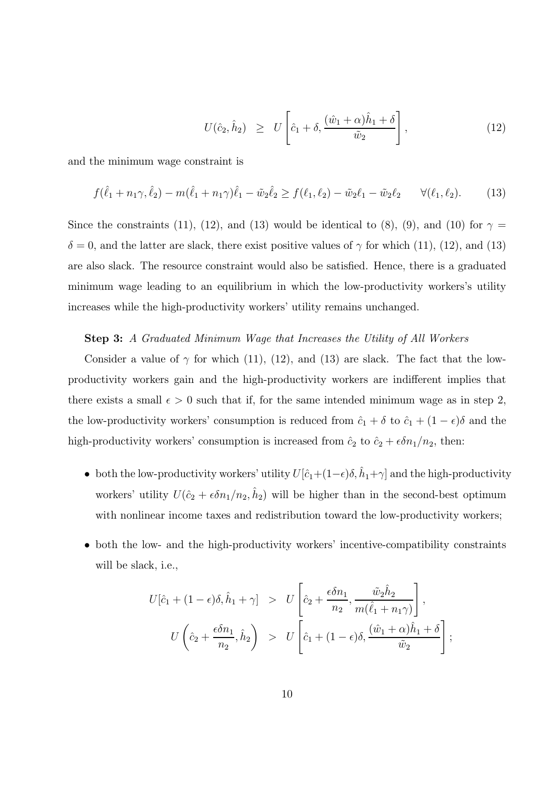$$
U(\hat{c}_2, \hat{h}_2) \geq U\left[\hat{c}_1 + \delta, \frac{(\hat{w}_1 + \alpha)\hat{h}_1 + \delta}{\tilde{w}_2}\right],\tag{12}
$$

and the minimum wage constraint is

$$
f(\hat{\ell}_1 + n_1\gamma, \hat{\ell}_2) - m(\hat{\ell}_1 + n_1\gamma)\hat{\ell}_1 - \tilde{w}_2\hat{\ell}_2 \ge f(\ell_1, \ell_2) - \tilde{w}_2\ell_1 - \tilde{w}_2\ell_2 \qquad \forall (\ell_1, \ell_2). \tag{13}
$$

Since the constraints (11), (12), and (13) would be identical to (8), (9), and (10) for  $\gamma =$  $\delta = 0$ , and the latter are slack, there exist positive values of  $\gamma$  for which (11), (12), and (13) are also slack. The resource constraint would also be satisfied. Hence, there is a graduated minimum wage leading to an equilibrium in which the low-productivity workers's utility increases while the high-productivity workers' utility remains unchanged.

#### Step 3: A Graduated Minimum Wage that Increases the Utility of All Workers

Consider a value of  $\gamma$  for which (11), (12), and (13) are slack. The fact that the lowproductivity workers gain and the high-productivity workers are indifferent implies that there exists a small  $\epsilon > 0$  such that if, for the same intended minimum wage as in step 2, the low-productivity workers' consumption is reduced from  $\hat{c}_1 + \delta$  to  $\hat{c}_1 + (1 - \epsilon)\delta$  and the high-productivity workers' consumption is increased from  $\hat{c}_2$  to  $\hat{c}_2 + \epsilon \delta n_1/n_2$ , then:

- both the low-productivity workers' utility  $U[\hat{c}_1+(1-\epsilon)\delta, \hat{h}_1+\gamma]$  and the high-productivity workers' utility  $U(\hat{c}_2 + \epsilon \delta n_1/n_2, \hat{h}_2)$  will be higher than in the second-best optimum with nonlinear income taxes and redistribution toward the low-productivity workers;
- both the low- and the high-productivity workers' incentive-compatibility constraints will be slack, i.e.,

$$
U[\hat{c}_1 + (1 - \epsilon)\delta, \hat{h}_1 + \gamma] > U\left[\hat{c}_2 + \frac{\epsilon \delta n_1}{n_2}, \frac{\tilde{w}_2 \hat{h}_2}{m(\hat{\ell}_1 + n_1\gamma)}\right],
$$
  

$$
U\left(\hat{c}_2 + \frac{\epsilon \delta n_1}{n_2}, \hat{h}_2\right) > U\left[\hat{c}_1 + (1 - \epsilon)\delta, \frac{(\hat{w}_1 + \alpha)\hat{h}_1 + \delta}{\tilde{w}_2}\right];
$$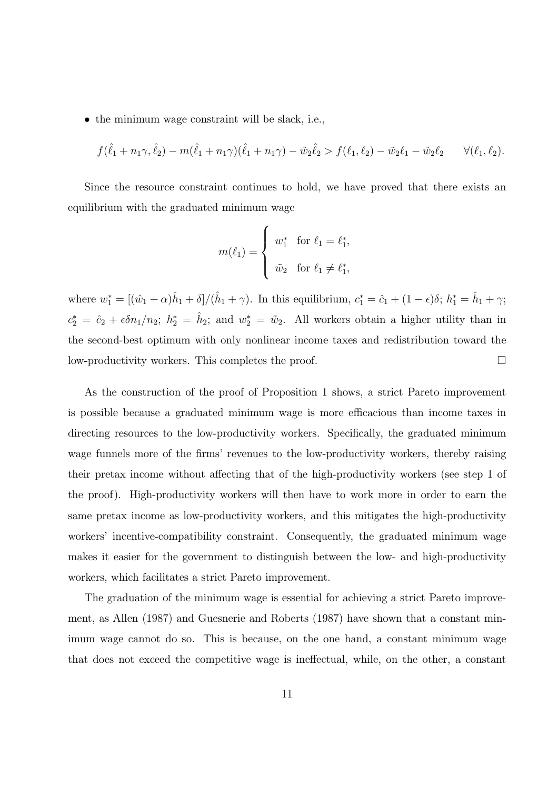• the minimum wage constraint will be slack, i.e.,

$$
f(\hat{\ell}_1 + n_1\gamma, \hat{\ell}_2) - m(\hat{\ell}_1 + n_1\gamma)(\hat{\ell}_1 + n_1\gamma) - \tilde{w}_2\hat{\ell}_2 > f(\ell_1, \ell_2) - \tilde{w}_2\ell_1 - \tilde{w}_2\ell_2 \qquad \forall (\ell_1, \ell_2).
$$

Since the resource constraint continues to hold, we have proved that there exists an equilibrium with the graduated minimum wage

$$
m(\ell_1) = \begin{cases} w_1^* & \text{for } \ell_1 = \ell_1^*, \\ \tilde{w}_2 & \text{for } \ell_1 \neq \ell_1^*, \end{cases}
$$

where  $w_1^* = [(\hat{w}_1 + \alpha)\hat{h}_1 + \delta]/(\hat{h}_1 + \gamma)$ . In this equilibrium,  $c_1^* = \hat{c}_1 + (1 - \epsilon)\delta$ ;  $h_1^* = \hat{h}_1 + \gamma$ ;  $c_2^* = \hat{c}_2 + \epsilon \delta n_1/n_2$ ;  $h_2^* = \hat{h}_2$ ; and  $w_2^* = \tilde{w}_2$ . All workers obtain a higher utility than in the second-best optimum with only nonlinear income taxes and redistribution toward the low-productivity workers. This completes the proof.  $\Box$ 

As the construction of the proof of Proposition 1 shows, a strict Pareto improvement is possible because a graduated minimum wage is more efficacious than income taxes in directing resources to the low-productivity workers. Specifically, the graduated minimum wage funnels more of the firms' revenues to the low-productivity workers, thereby raising their pretax income without affecting that of the high-productivity workers (see step 1 of the proof). High-productivity workers will then have to work more in order to earn the same pretax income as low-productivity workers, and this mitigates the high-productivity workers' incentive-compatibility constraint. Consequently, the graduated minimum wage makes it easier for the government to distinguish between the low- and high-productivity workers, which facilitates a strict Pareto improvement.

The graduation of the minimum wage is essential for achieving a strict Pareto improvement, as Allen (1987) and Guesnerie and Roberts (1987) have shown that a constant minimum wage cannot do so. This is because, on the one hand, a constant minimum wage that does not exceed the competitive wage is ineffectual, while, on the other, a constant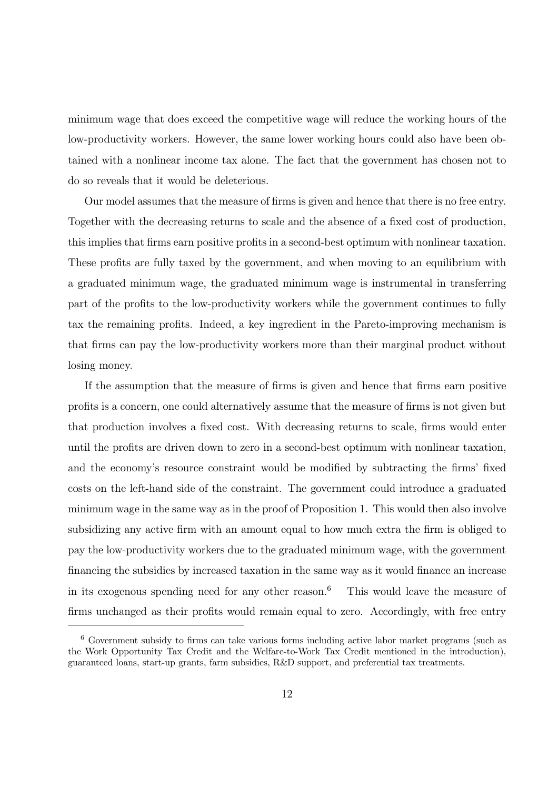minimum wage that does exceed the competitive wage will reduce the working hours of the low-productivity workers. However, the same lower working hours could also have been obtained with a nonlinear income tax alone. The fact that the government has chosen not to do so reveals that it would be deleterious.

Our model assumes that the measure of firms is given and hence that there is no free entry. Together with the decreasing returns to scale and the absence of a fixed cost of production, this implies that firms earn positive profits in a second-best optimum with nonlinear taxation. These profits are fully taxed by the government, and when moving to an equilibrium with a graduated minimum wage, the graduated minimum wage is instrumental in transferring part of the profits to the low-productivity workers while the government continues to fully tax the remaining profits. Indeed, a key ingredient in the Pareto-improving mechanism is that firms can pay the low-productivity workers more than their marginal product without losing money.

If the assumption that the measure of firms is given and hence that firms earn positive profits is a concern, one could alternatively assume that the measure of firms is not given but that production involves a fixed cost. With decreasing returns to scale, firms would enter until the profits are driven down to zero in a second-best optimum with nonlinear taxation, and the economy's resource constraint would be modified by subtracting the firms' fixed costs on the left-hand side of the constraint. The government could introduce a graduated minimum wage in the same way as in the proof of Proposition 1. This would then also involve subsidizing any active firm with an amount equal to how much extra the firm is obliged to pay the low-productivity workers due to the graduated minimum wage, with the government financing the subsidies by increased taxation in the same way as it would finance an increase in its exogenous spending need for any other reason.<sup>6</sup> This would leave the measure of firms unchanged as their profits would remain equal to zero. Accordingly, with free entry

<sup>6</sup> Government subsidy to firms can take various forms including active labor market programs (such as the Work Opportunity Tax Credit and the Welfare-to-Work Tax Credit mentioned in the introduction), guaranteed loans, start-up grants, farm subsidies, R&D support, and preferential tax treatments.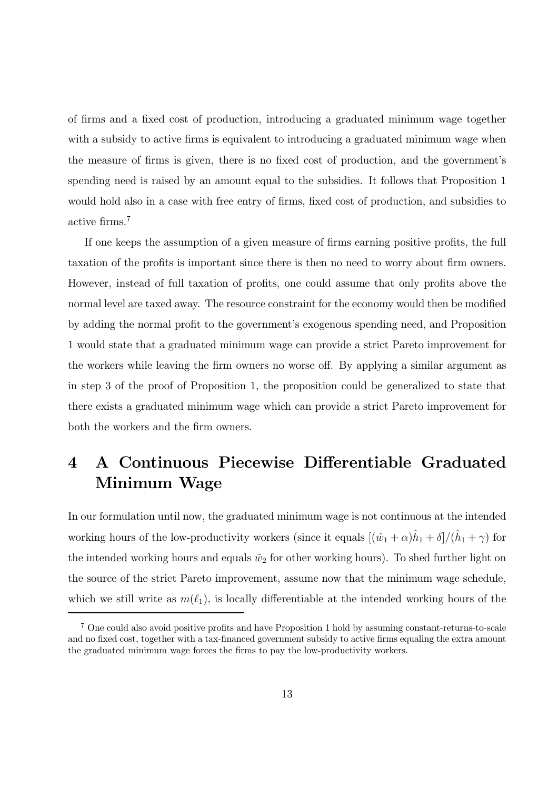of firms and a fixed cost of production, introducing a graduated minimum wage together with a subsidy to active firms is equivalent to introducing a graduated minimum wage when the measure of firms is given, there is no fixed cost of production, and the government's spending need is raised by an amount equal to the subsidies. It follows that Proposition 1 would hold also in a case with free entry of firms, fixed cost of production, and subsidies to active firms.<sup>7</sup>

If one keeps the assumption of a given measure of firms earning positive profits, the full taxation of the profits is important since there is then no need to worry about firm owners. However, instead of full taxation of profits, one could assume that only profits above the normal level are taxed away. The resource constraint for the economy would then be modified by adding the normal profit to the government's exogenous spending need, and Proposition 1 would state that a graduated minimum wage can provide a strict Pareto improvement for the workers while leaving the firm owners no worse off. By applying a similar argument as in step 3 of the proof of Proposition 1, the proposition could be generalized to state that there exists a graduated minimum wage which can provide a strict Pareto improvement for both the workers and the firm owners.

### 4 A Continuous Piecewise Differentiable Graduated Minimum Wage

In our formulation until now, the graduated minimum wage is not continuous at the intended working hours of the low-productivity workers (since it equals  $[(\hat{w}_1 + \alpha)\hat{h}_1 + \delta]/(\hat{h}_1 + \gamma)$  for the intended working hours and equals  $\tilde{w}_2$  for other working hours). To shed further light on the source of the strict Pareto improvement, assume now that the minimum wage schedule, which we still write as  $m(\ell_1)$ , is locally differentiable at the intended working hours of the

<sup>7</sup> One could also avoid positive profits and have Proposition 1 hold by assuming constant-returns-to-scale and no fixed cost, together with a tax-financed government subsidy to active firms equaling the extra amount the graduated minimum wage forces the firms to pay the low-productivity workers.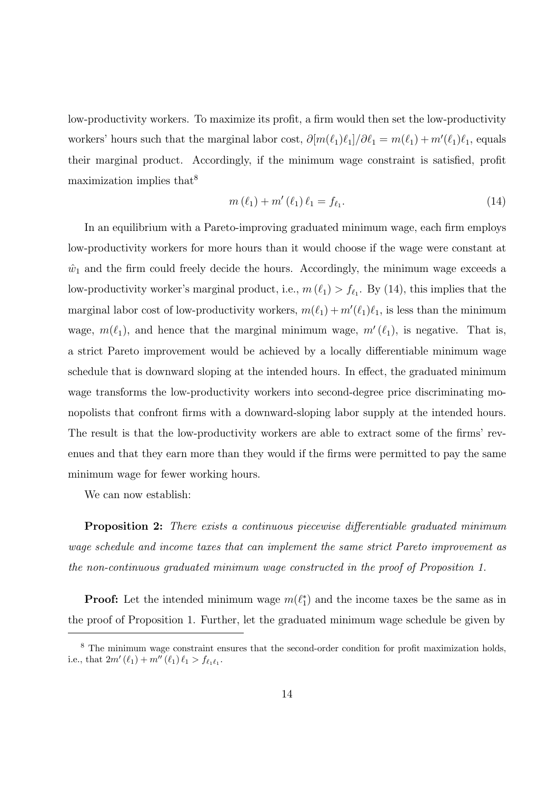low-productivity workers. To maximize its profit, a firm would then set the low-productivity workers' hours such that the marginal labor cost,  $\partial [m(\ell_1)\ell_1]/\partial \ell_1 = m(\ell_1) + m'(\ell_1)\ell_1$ , equals their marginal product. Accordingly, if the minimum wage constraint is satisfied, profit maximization implies that  $8$ 

$$
m(\ell_1) + m'(\ell_1)\,\ell_1 = f_{\ell_1}.\tag{14}
$$

In an equilibrium with a Pareto-improving graduated minimum wage, each firm employs low-productivity workers for more hours than it would choose if the wage were constant at  $\hat{w}_1$  and the firm could freely decide the hours. Accordingly, the minimum wage exceeds a low-productivity worker's marginal product, i.e.,  $m(\ell_1) > f_{\ell_1}$ . By (14), this implies that the marginal labor cost of low-productivity workers,  $m(\ell_1) + m'(\ell_1)\ell_1$ , is less than the minimum wage,  $m(\ell_1)$ , and hence that the marginal minimum wage,  $m'(\ell_1)$ , is negative. That is, a strict Pareto improvement would be achieved by a locally differentiable minimum wage schedule that is downward sloping at the intended hours. In effect, the graduated minimum wage transforms the low-productivity workers into second-degree price discriminating monopolists that confront firms with a downward-sloping labor supply at the intended hours. The result is that the low-productivity workers are able to extract some of the firms' revenues and that they earn more than they would if the firms were permitted to pay the same minimum wage for fewer working hours.

We can now establish:

**Proposition 2:** There exists a continuous piecewise differentiable graduated minimum wage schedule and income taxes that can implement the same strict Pareto improvement as the non-continuous graduated minimum wage constructed in the proof of Proposition 1.

**Proof:** Let the intended minimum wage  $m(\ell_1^*)$  and the income taxes be the same as in the proof of Proposition 1. Further, let the graduated minimum wage schedule be given by

<sup>&</sup>lt;sup>8</sup> The minimum wage constraint ensures that the second-order condition for profit maximization holds, i.e., that  $2m'(\ell_1) + m''(\ell_1) \ell_1 > f_{\ell_1 \ell_1}$ .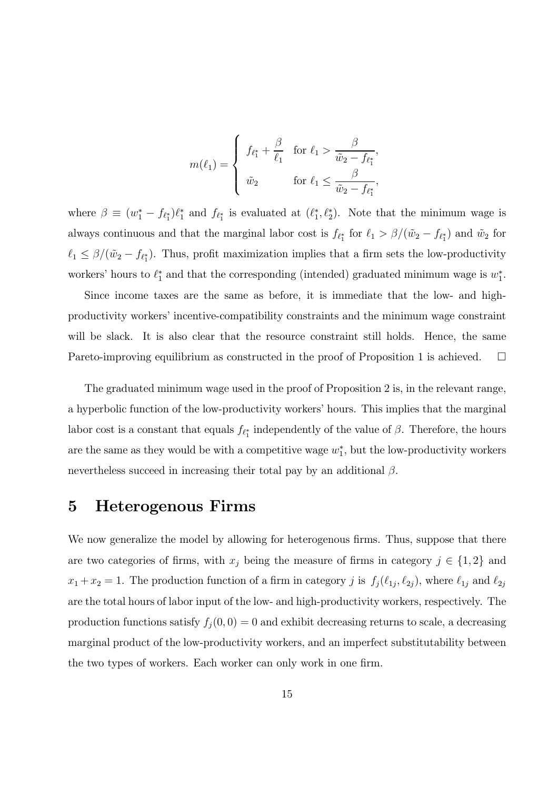$$
m(\ell_1) = \begin{cases} f_{\ell_1^*} + \frac{\beta}{\ell_1} & \text{for } \ell_1 > \frac{\beta}{\tilde{w}_2 - f_{\ell_1^*}}, \\ \tilde{w}_2 & \text{for } \ell_1 \le \frac{\beta}{\tilde{w}_2 - f_{\ell_1^*}}, \end{cases}
$$

where  $\beta \equiv (w_1^* - f_{\ell_1^*})\ell_1^*$  and  $f_{\ell_1^*}$  is evaluated at  $(\ell_1^*, \ell_2^*)$ . Note that the minimum wage is always continuous and that the marginal labor cost is  $f_{\ell_1^*}$  for  $\ell_1 > \beta/(\tilde{w}_2 - f_{\ell_1^*})$  and  $\tilde{w}_2$  for  $\ell_1 \leq \beta/(\tilde{w}_2 - f_{\ell_1^*})$ . Thus, profit maximization implies that a firm sets the low-productivity workers' hours to  $\ell_1^*$  and that the corresponding (intended) graduated minimum wage is  $w_1^*$ .

Since income taxes are the same as before, it is immediate that the low- and highproductivity workers' incentive-compatibility constraints and the minimum wage constraint will be slack. It is also clear that the resource constraint still holds. Hence, the same Pareto-improving equilibrium as constructed in the proof of Proposition 1 is achieved.  $\Box$ 

The graduated minimum wage used in the proof of Proposition 2 is, in the relevant range, a hyperbolic function of the low-productivity workers' hours. This implies that the marginal labor cost is a constant that equals  $f_{\ell_1^*}$  independently of the value of  $\beta$ . Therefore, the hours are the same as they would be with a competitive wage  $w_1^*$ , but the low-productivity workers nevertheless succeed in increasing their total pay by an additional  $\beta$ .

#### 5 Heterogenous Firms

We now generalize the model by allowing for heterogenous firms. Thus, suppose that there are two categories of firms, with  $x_j$  being the measure of firms in category  $j \in \{1,2\}$  and  $x_1 + x_2 = 1$ . The production function of a firm in category j is  $f_j(\ell_{1j}, \ell_{2j})$ , where  $\ell_{1j}$  and  $\ell_{2j}$ are the total hours of labor input of the low- and high-productivity workers, respectively. The production functions satisfy  $f_i(0,0) = 0$  and exhibit decreasing returns to scale, a decreasing marginal product of the low-productivity workers, and an imperfect substitutability between the two types of workers. Each worker can only work in one firm.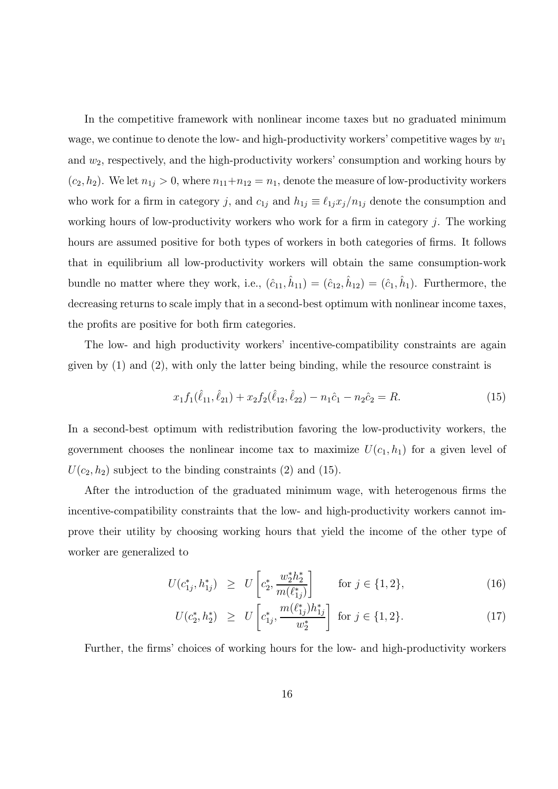In the competitive framework with nonlinear income taxes but no graduated minimum wage, we continue to denote the low- and high-productivity workers' competitive wages by  $w_1$ and  $w_2$ , respectively, and the high-productivity workers' consumption and working hours by  $(c_2, h_2)$ . We let  $n_{1j} > 0$ , where  $n_{11}+n_{12} = n_1$ , denote the measure of low-productivity workers who work for a firm in category j, and  $c_{1j}$  and  $h_{1j} \equiv \ell_{1j} x_j/n_{1j}$  denote the consumption and working hours of low-productivity workers who work for a firm in category  $j$ . The working hours are assumed positive for both types of workers in both categories of firms. It follows that in equilibrium all low-productivity workers will obtain the same consumption-work bundle no matter where they work, i.e.,  $(\hat{c}_{11}, \hat{h}_{11}) = (\hat{c}_{12}, \hat{h}_{12}) = (\hat{c}_1, \hat{h}_1)$ . Furthermore, the decreasing returns to scale imply that in a second-best optimum with nonlinear income taxes, the profits are positive for both firm categories.

The low- and high productivity workers' incentive-compatibility constraints are again given by  $(1)$  and  $(2)$ , with only the latter being binding, while the resource constraint is

$$
x_1 f_1(\hat{\ell}_{11}, \hat{\ell}_{21}) + x_2 f_2(\hat{\ell}_{12}, \hat{\ell}_{22}) - n_1 \hat{c}_1 - n_2 \hat{c}_2 = R.
$$
\n(15)

In a second-best optimum with redistribution favoring the low-productivity workers, the government chooses the nonlinear income tax to maximize  $U(c_1, h_1)$  for a given level of  $U(c_2, h_2)$  subject to the binding constraints (2) and (15).

After the introduction of the graduated minimum wage, with heterogenous firms the incentive-compatibility constraints that the low- and high-productivity workers cannot improve their utility by choosing working hours that yield the income of the other type of worker are generalized to

$$
U(c_{1j}^*, h_{1j}^*) \ge U\left[c_2^*, \frac{w_2^* h_2^*}{m(\ell_{1j}^*)}\right] \qquad \text{for } j \in \{1, 2\},\tag{16}
$$

$$
U(c_2^*, h_2^*) \ge U\left[c_{1j}^*, \frac{m(\ell_{1j}^*)h_{1j}^*}{w_2^*}\right] \text{ for } j \in \{1, 2\}.
$$
 (17)

Further, the firms' choices of working hours for the low- and high-productivity workers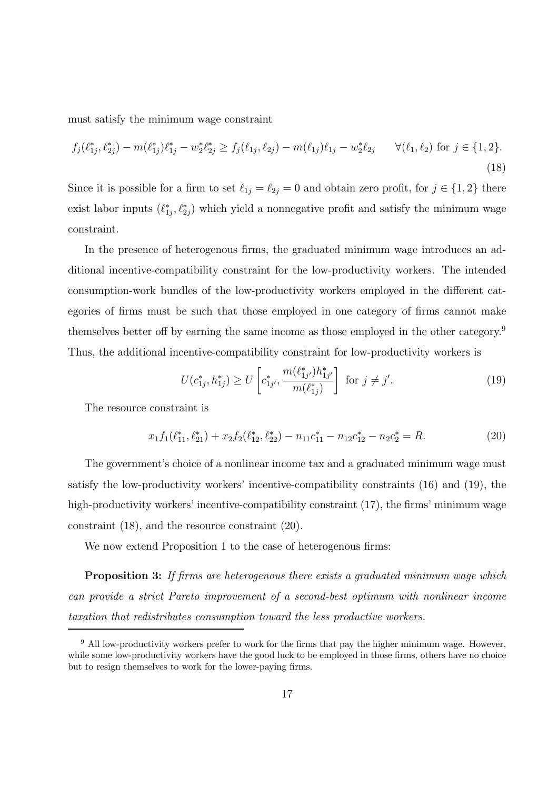must satisfy the minimum wage constraint

$$
f_j(\ell_{1j}^*, \ell_{2j}^*) - m(\ell_{1j}^*)\ell_{1j}^* - w_2^* \ell_{2j}^* \ge f_j(\ell_{1j}, \ell_{2j}) - m(\ell_{1j})\ell_{1j} - w_2^* \ell_{2j} \qquad \forall (\ell_1, \ell_2) \text{ for } j \in \{1, 2\}. \tag{18}
$$

Since it is possible for a firm to set  $\ell_{1j} = \ell_{2j} = 0$  and obtain zero profit, for  $j \in \{1, 2\}$  there exist labor inputs  $(\ell_{1j}^*, \ell_{2j}^*)$  which yield a nonnegative profit and satisfy the minimum wage constraint.

In the presence of heterogenous firms, the graduated minimum wage introduces an additional incentive-compatibility constraint for the low-productivity workers. The intended consumption-work bundles of the low-productivity workers employed in the different categories of firms must be such that those employed in one category of firms cannot make themselves better off by earning the same income as those employed in the other category.<sup>9</sup> Thus, the additional incentive-compatibility constraint for low-productivity workers is

$$
U(c_{1j}^*, h_{1j}^*) \ge U\left[c_{1j'}^*, \frac{m(\ell_{1j'}^*)h_{1j'}^*}{m(\ell_{1j}^*)}\right] \text{ for } j \ne j'.\tag{19}
$$

The resource constraint is

$$
x_1 f_1(\ell_{11}^*, \ell_{21}^*) + x_2 f_2(\ell_{12}^*, \ell_{22}^*) - n_{11} c_{11}^* - n_{12} c_{12}^* - n_2 c_2^* = R.
$$
\n
$$
(20)
$$

The government's choice of a nonlinear income tax and a graduated minimum wage must satisfy the low-productivity workers' incentive-compatibility constraints (16) and (19), the high-productivity workers' incentive-compatibility constraint (17), the firms' minimum wage constraint (18), and the resource constraint (20).

We now extend Proposition 1 to the case of heterogenous firms:

**Proposition 3:** If firms are heterogenous there exists a graduated minimum wage which can provide a strict Pareto improvement of a second-best optimum with nonlinear income taxation that redistributes consumption toward the less productive workers.

 $9$  All low-productivity workers prefer to work for the firms that pay the higher minimum wage. However, while some low-productivity workers have the good luck to be employed in those firms, others have no choice but to resign themselves to work for the lower-paying firms.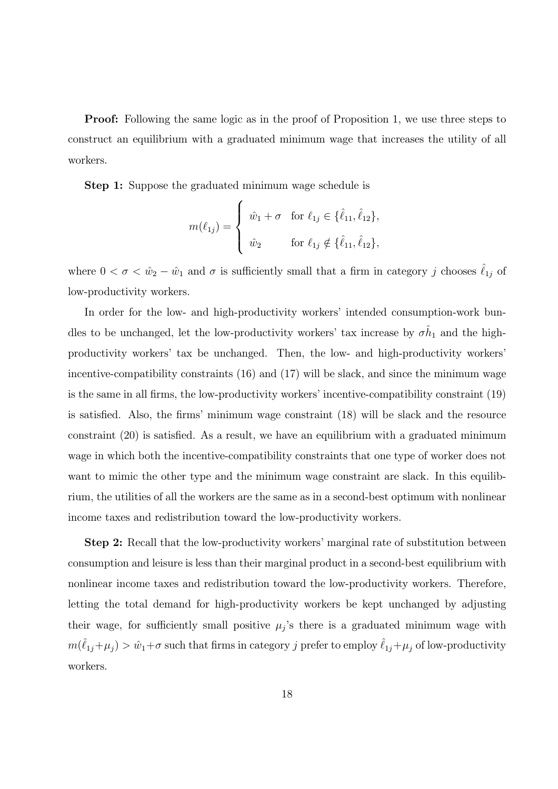**Proof:** Following the same logic as in the proof of Proposition 1, we use three steps to construct an equilibrium with a graduated minimum wage that increases the utility of all workers.

Step 1: Suppose the graduated minimum wage schedule is

$$
m(\ell_{1j}) = \begin{cases} \hat{w}_1 + \sigma & \text{for } \ell_{1j} \in \{\hat{\ell}_{11}, \hat{\ell}_{12}\}, \\ \hat{w}_2 & \text{for } \ell_{1j} \notin \{\hat{\ell}_{11}, \hat{\ell}_{12}\}, \end{cases}
$$

where  $0 < \sigma < \hat{w}_2 - \hat{w}_1$  and  $\sigma$  is sufficiently small that a firm in category j chooses  $\hat{\ell}_{1j}$  of low-productivity workers.

In order for the low- and high-productivity workers' intended consumption-work bundles to be unchanged, let the low-productivity workers' tax increase by  $\sigma \hat{h}_1$  and the highproductivity workers' tax be unchanged. Then, the low- and high-productivity workers' incentive-compatibility constraints (16) and (17) will be slack, and since the minimum wage is the same in all firms, the low-productivity workers' incentive-compatibility constraint (19) is satisfied. Also, the firms' minimum wage constraint (18) will be slack and the resource constraint (20) is satisfied. As a result, we have an equilibrium with a graduated minimum wage in which both the incentive-compatibility constraints that one type of worker does not want to mimic the other type and the minimum wage constraint are slack. In this equilibrium, the utilities of all the workers are the same as in a second-best optimum with nonlinear income taxes and redistribution toward the low-productivity workers.

Step 2: Recall that the low-productivity workers' marginal rate of substitution between consumption and leisure is less than their marginal product in a second-best equilibrium with nonlinear income taxes and redistribution toward the low-productivity workers. Therefore, letting the total demand for high-productivity workers be kept unchanged by adjusting their wage, for sufficiently small positive  $\mu_j$ 's there is a graduated minimum wage with  $m(\hat{\ell}_{1j}+\mu_j) > \hat{w}_1+\sigma$  such that firms in category  $j$  prefer to employ  $\hat{\ell}_{1j}+\mu_j$  of low-productivity workers.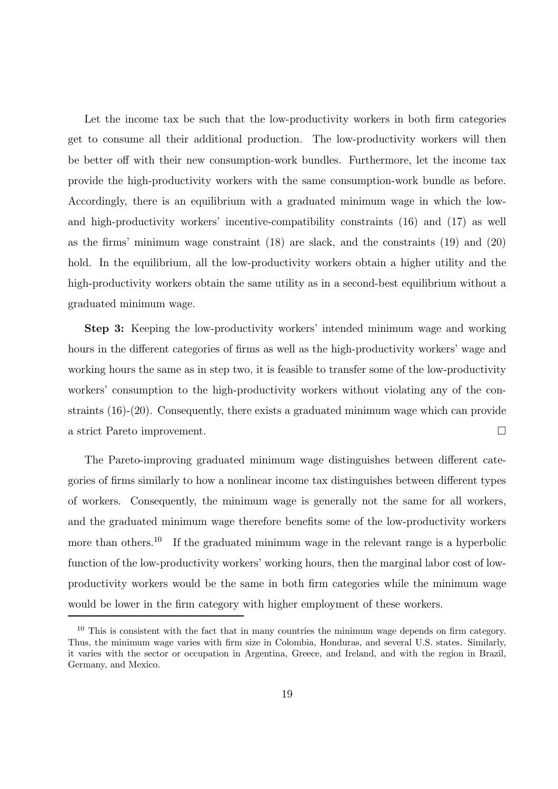Let the income tax be such that the low-productivity workers in both firm categories get to consume all their additional production. The low-productivity workers will then be better off with their new consumption-work bundles. Furthermore, let the income tax provide the high-productivity workers with the same consumption-work bundle as before. Accordingly, there is an equilibrium with a graduated minimum wage in which the lowand high-productivity workers' incentive-compatibility constraints (16) and (17) as well as the firms' minimum wage constraint (18) are slack, and the constraints (19) and (20) hold. In the equilibrium, all the low-productivity workers obtain a higher utility and the high-productivity workers obtain the same utility as in a second-best equilibrium without a graduated minimum wage.

Step 3: Keeping the low-productivity workers' intended minimum wage and working hours in the different categories of firms as well as the high-productivity workers' wage and working hours the same as in step two, it is feasible to transfer some of the low-productivity workers' consumption to the high-productivity workers without violating any of the constraints (16)-(20). Consequently, there exists a graduated minimum wage which can provide a strict Pareto improvement.

The Pareto-improving graduated minimum wage distinguishes between different categories of firms similarly to how a nonlinear income tax distinguishes between different types of workers. Consequently, the minimum wage is generally not the same for all workers, and the graduated minimum wage therefore benefits some of the low-productivity workers more than others.<sup>10</sup> If the graduated minimum wage in the relevant range is a hyperbolic function of the low-productivity workers' working hours, then the marginal labor cost of lowproductivity workers would be the same in both firm categories while the minimum wage would be lower in the firm category with higher employment of these workers.

<sup>&</sup>lt;sup>10</sup> This is consistent with the fact that in many countries the minimum wage depends on firm category. Thus, the minimum wage varies with firm size in Colombia, Honduras, and several U.S. states. Similarly, it varies with the sector or occupation in Argentina, Greece, and Ireland, and with the region in Brazil, Germany, and Mexico.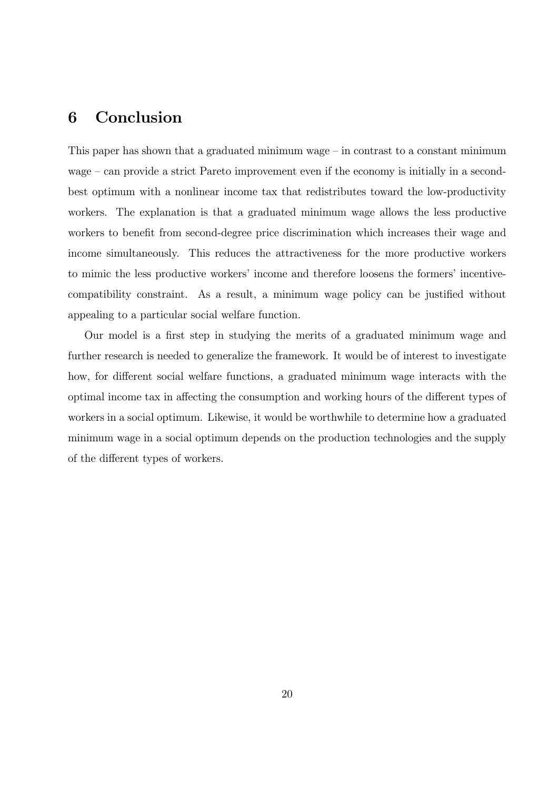#### 6 Conclusion

This paper has shown that a graduated minimum wage  $-$  in contrast to a constant minimum wage — can provide a strict Pareto improvement even if the economy is initially in a secondbest optimum with a nonlinear income tax that redistributes toward the low-productivity workers. The explanation is that a graduated minimum wage allows the less productive workers to benefit from second-degree price discrimination which increases their wage and income simultaneously. This reduces the attractiveness for the more productive workers to mimic the less productive workers' income and therefore loosens the formers' incentivecompatibility constraint. As a result, a minimum wage policy can be justified without appealing to a particular social welfare function.

Our model is a first step in studying the merits of a graduated minimum wage and further research is needed to generalize the framework. It would be of interest to investigate how, for different social welfare functions, a graduated minimum wage interacts with the optimal income tax in affecting the consumption and working hours of the different types of workers in a social optimum. Likewise, it would be worthwhile to determine how a graduated minimum wage in a social optimum depends on the production technologies and the supply of the different types of workers.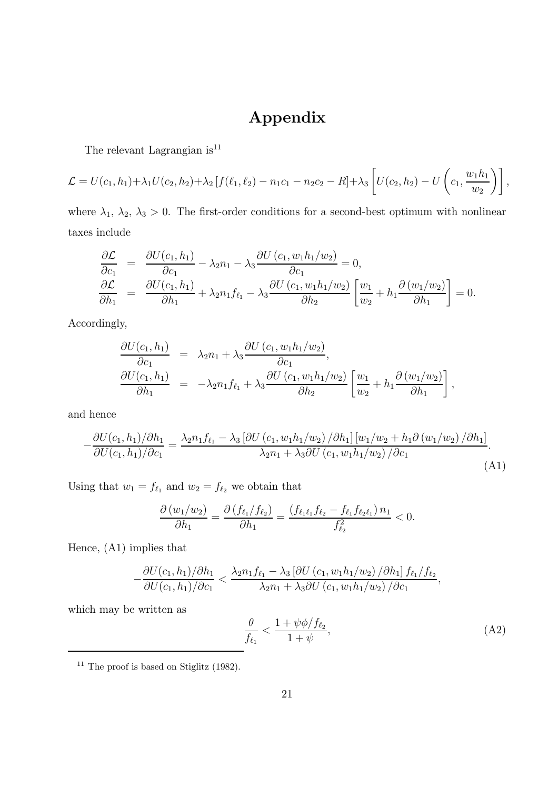## Appendix

The relevant Lagrangian  $is^{11}$ 

$$
\mathcal{L} = U(c_1, h_1) + \lambda_1 U(c_2, h_2) + \lambda_2 \left[ f(\ell_1, \ell_2) - n_1 c_1 - n_2 c_2 - R \right] + \lambda_3 \left[ U(c_2, h_2) - U\left(c_1, \frac{w_1 h_1}{w_2}\right) \right],
$$

where  $\lambda_1$ ,  $\lambda_2$ ,  $\lambda_3 > 0$ . The first-order conditions for a second-best optimum with nonlinear taxes include

$$
\frac{\partial \mathcal{L}}{\partial c_1} = \frac{\partial U(c_1, h_1)}{\partial c_1} - \lambda_2 n_1 - \lambda_3 \frac{\partial U(c_1, w_1 h_1/w_2)}{\partial c_1} = 0,
$$
\n
$$
\frac{\partial \mathcal{L}}{\partial h_1} = \frac{\partial U(c_1, h_1)}{\partial h_1} + \lambda_2 n_1 f_{\ell_1} - \lambda_3 \frac{\partial U(c_1, w_1 h_1/w_2)}{\partial h_2} \left[ \frac{w_1}{w_2} + h_1 \frac{\partial (w_1/w_2)}{\partial h_1} \right] = 0.
$$

Accordingly,

$$
\frac{\partial U(c_1, h_1)}{\partial c_1} = \lambda_2 n_1 + \lambda_3 \frac{\partial U(c_1, w_1 h_1/w_2)}{\partial c_1},
$$
  
\n
$$
\frac{\partial U(c_1, h_1)}{\partial h_1} = -\lambda_2 n_1 f_{\ell_1} + \lambda_3 \frac{\partial U(c_1, w_1 h_1/w_2)}{\partial h_2} \left[ \frac{w_1}{w_2} + h_1 \frac{\partial (w_1/w_2)}{\partial h_1} \right],
$$

and hence

$$
-\frac{\partial U(c_1, h_1)/\partial h_1}{\partial U(c_1, h_1)/\partial c_1} = \frac{\lambda_2 n_1 f_{\ell_1} - \lambda_3 \left[ \partial U(c_1, w_1 h_1/w_2) / \partial h_1 \right] [w_1/w_2 + h_1 \partial (w_1/w_2) / \partial h_1]}{\lambda_2 n_1 + \lambda_3 \partial U(c_1, w_1 h_1/w_2) / \partial c_1}.
$$
\n(A1)

Using that  $w_1 = f_{\ell_1}$  and  $w_2 = f_{\ell_2}$  we obtain that

$$
\frac{\partial (w_1/w_2)}{\partial h_1} = \frac{\partial (f_{\ell_1}/f_{\ell_2})}{\partial h_1} = \frac{(f_{\ell_1\ell_1}f_{\ell_2} - f_{\ell_1}f_{\ell_2\ell_1}) n_1}{f_{\ell_2}^2} < 0.
$$

Hence, (A1) implies that

$$
-\frac{\partial U(c_1, h_1)/\partial h_1}{\partial U(c_1, h_1)/\partial c_1} < \frac{\lambda_2 n_1 f_{\ell_1} - \lambda_3 \left[\partial U(c_1, w_1 h_1/w_2)/\partial h_1\right] f_{\ell_1}/f_{\ell_2}}{\lambda_2 n_1 + \lambda_3 \partial U(c_1, w_1 h_1/w_2)/\partial c_1},
$$

which may be written as

$$
\frac{\theta}{f_{\ell_1}} < \frac{1 + \psi \phi / f_{\ell_2}}{1 + \psi},\tag{A2}
$$

<sup>11</sup> The proof is based on Stiglitz (1982).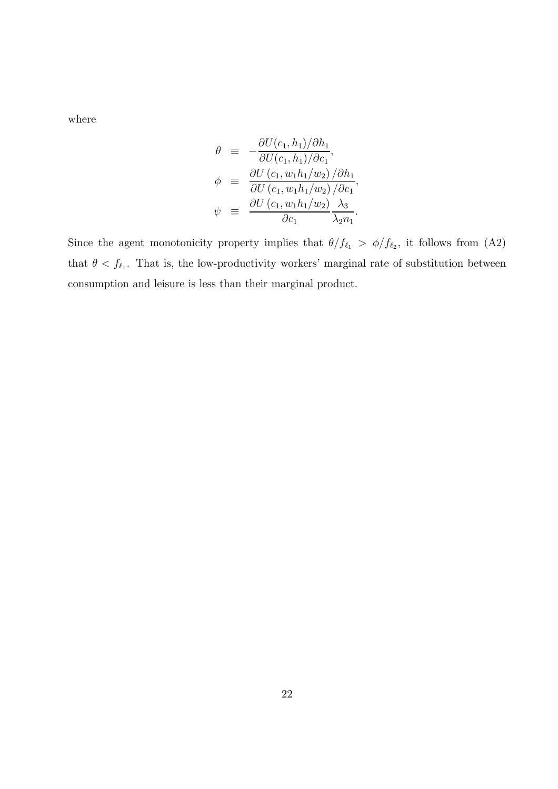where

$$
\theta \equiv -\frac{\partial U(c_1, h_1)/\partial h_1}{\partial U(c_1, h_1)/\partial c_1},
$$
  
\n
$$
\phi \equiv \frac{\partial U(c_1, w_1 h_1/w_2)/\partial h_1}{\partial U(c_1, w_1 h_1/w_2)/\partial c_1},
$$
  
\n
$$
\psi \equiv \frac{\partial U(c_1, w_1 h_1/w_2)}{\partial c_1} \frac{\lambda_3}{\lambda_2 n_1}.
$$

Since the agent monotonicity property implies that  $\theta/f_{\ell_1} > \phi/f_{\ell_2}$ , it follows from (A2) that  $\theta < f_{\ell_1}$ . That is, the low-productivity workers' marginal rate of substitution between consumption and leisure is less than their marginal product.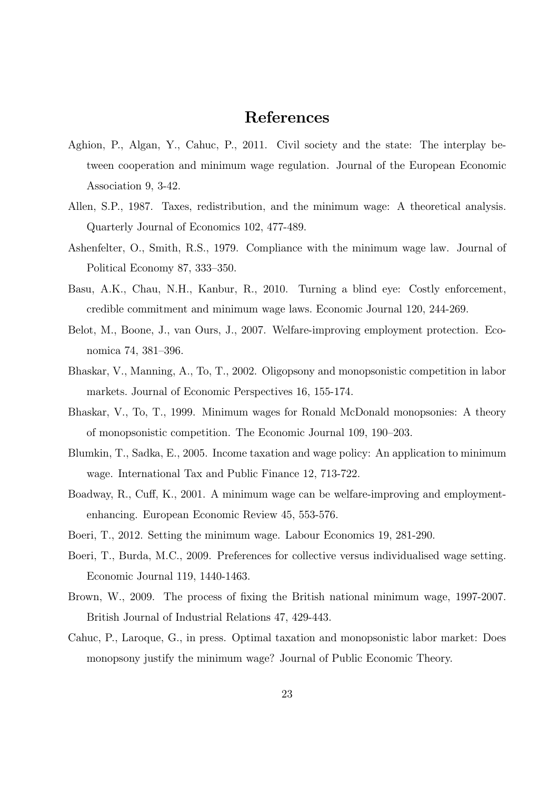### References

- Aghion, P., Algan, Y., Cahuc, P., 2011. Civil society and the state: The interplay between cooperation and minimum wage regulation. Journal of the European Economic Association 9, 3-42.
- Allen, S.P., 1987. Taxes, redistribution, and the minimum wage: A theoretical analysis. Quarterly Journal of Economics 102, 477-489.
- Ashenfelter, O., Smith, R.S., 1979. Compliance with the minimum wage law. Journal of Political Economy 87, 333—350.
- Basu, A.K., Chau, N.H., Kanbur, R., 2010. Turning a blind eye: Costly enforcement, credible commitment and minimum wage laws. Economic Journal 120, 244-269.
- Belot, M., Boone, J., van Ours, J., 2007. Welfare-improving employment protection. Economica 74, 381—396.
- Bhaskar, V., Manning, A., To, T., 2002. Oligopsony and monopsonistic competition in labor markets. Journal of Economic Perspectives 16, 155-174.
- Bhaskar, V., To, T., 1999. Minimum wages for Ronald McDonald monopsonies: A theory of monopsonistic competition. The Economic Journal 109, 190—203.
- Blumkin, T., Sadka, E., 2005. Income taxation and wage policy: An application to minimum wage. International Tax and Public Finance 12, 713-722.
- Boadway, R., Cuff, K., 2001. A minimum wage can be welfare-improving and employmentenhancing. European Economic Review 45, 553-576.
- Boeri, T., 2012. Setting the minimum wage. Labour Economics 19, 281-290.
- Boeri, T., Burda, M.C., 2009. Preferences for collective versus individualised wage setting. Economic Journal 119, 1440-1463.
- Brown, W., 2009. The process of fixing the British national minimum wage, 1997-2007. British Journal of Industrial Relations 47, 429-443.
- Cahuc, P., Laroque, G., in press. Optimal taxation and monopsonistic labor market: Does monopsony justify the minimum wage? Journal of Public Economic Theory.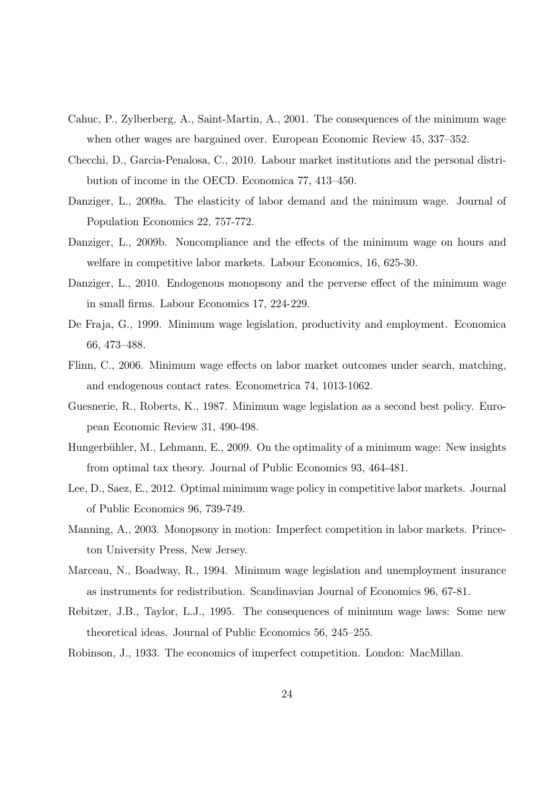- Cahuc, P., Zylberberg, A., Saint-Martin, A., 2001. The consequences of the minimum wage when other wages are bargained over. European Economic Review 45, 337—352.
- Checchi, D., Garcia-Penalosa, C., 2010. Labour market institutions and the personal distribution of income in the OECD. Economica 77, 413—450.
- Danziger, L., 2009a. The elasticity of labor demand and the minimum wage. Journal of Population Economics 22, 757-772.
- Danziger, L., 2009b. Noncompliance and the effects of the minimum wage on hours and welfare in competitive labor markets. Labour Economics, 16, 625-30.
- Danziger, L., 2010. Endogenous monopsony and the perverse effect of the minimum wage in small firms. Labour Economics 17, 224-229.
- De Fraja, G., 1999. Minimum wage legislation, productivity and employment. Economica 66, 473—488.
- Flinn, C., 2006. Minimum wage effects on labor market outcomes under search, matching, and endogenous contact rates. Econometrica 74, 1013-1062.
- Guesnerie, R., Roberts, K., 1987. Minimum wage legislation as a second best policy. European Economic Review 31, 490-498.
- Hungerbühler, M., Lehmann, E., 2009. On the optimality of a minimum wage: New insights from optimal tax theory. Journal of Public Economics 93, 464-481.
- Lee, D., Saez, E., 2012. Optimal minimum wage policy in competitive labor markets. Journal of Public Economics 96, 739-749.
- Manning, A., 2003. Monopsony in motion: Imperfect competition in labor markets. Princeton University Press, New Jersey.
- Marceau, N., Boadway, R., 1994. Minimum wage legislation and unemployment insurance as instruments for redistribution. Scandinavian Journal of Economics 96, 67-81.
- Rebitzer, J.B., Taylor, L.J., 1995. The consequences of minimum wage laws: Some new theoretical ideas. Journal of Public Economics 56, 245—255.
- Robinson, J., 1933. The economics of imperfect competition. London: MacMillan.